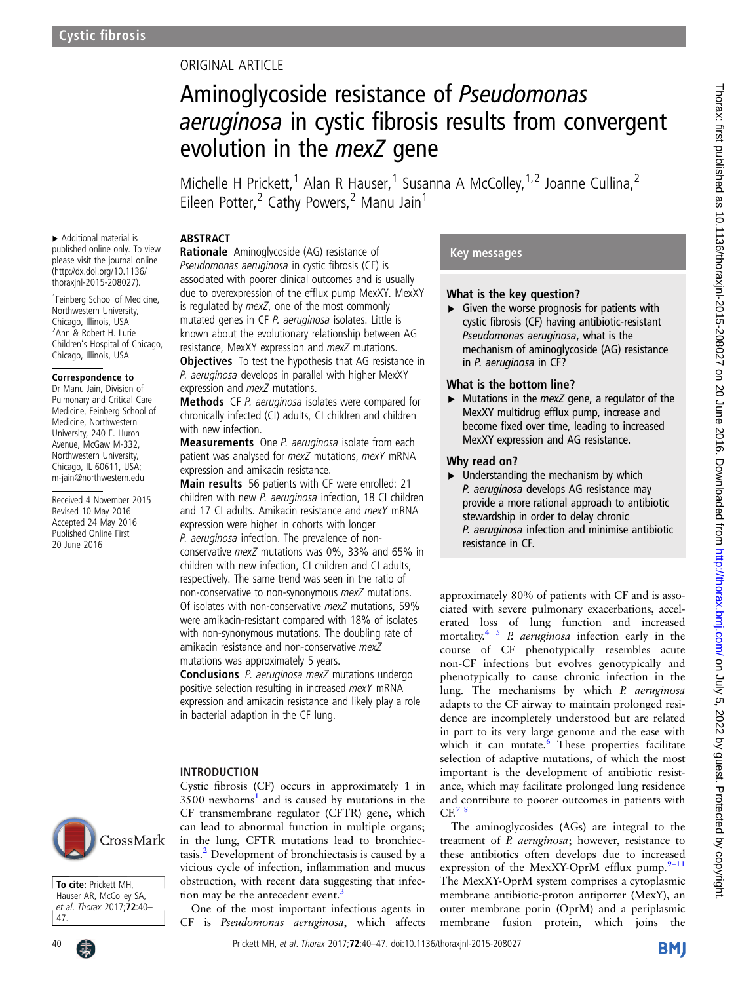## ORIGINAL ARTICLE

# Aminoglycoside resistance of Pseudomonas aeruginosa in cystic fibrosis results from convergent evolution in the *mexZ* gene

Michelle H Prickett,<sup>1</sup> Alan R Hauser,<sup>1</sup> Susanna A McColley,<sup>1,2</sup> Joanne Cullina,<sup>2</sup> Eileen Potter, $^2$  Cathy Powers, $^2$  Manu Jain<sup>1</sup>

### ABSTRACT

▸ Additional material is published online only. To view please visit the journal online [\(http://dx.doi.org/10.1136/](http://dx.doi.org/10.1136/thoraxjnl-2015-208027) [thoraxjnl-2015-208027\)](http://dx.doi.org/10.1136/thoraxjnl-2015-208027).

1 Feinberg School of Medicine, Northwestern University, Chicago, Illinois, USA <sup>2</sup>Ann & Robert H. Lurie Children's Hospital of Chicago, Chicago, Illinois, USA

#### Correspondence to

Dr Manu Jain, Division of Pulmonary and Critical Care Medicine, Feinberg School of Medicine, Northwestern University, 240 E. Huron Avenue, McGaw M-332, Northwestern University, Chicago, IL 60611, USA; m-jain@northwestern.edu

Received 4 November 2015 Revised 10 May 2016 Accepted 24 May 2016 Published Online First 20 June 2016

Rationale Aminoglycoside (AG) resistance of Pseudomonas aeruginosa in cystic fibrosis (CF) is associated with poorer clinical outcomes and is usually due to overexpression of the efflux pump MexXY. MexXY is regulated by mexZ, one of the most commonly mutated genes in CF P. aeruginosa isolates. Little is known about the evolutionary relationship between AG resistance, MexXY expression and mexZ mutations.

**Objectives** To test the hypothesis that AG resistance in P. aeruginosa develops in parallel with higher MexXY expression and mexZ mutations.

Methods CF P. aeruginosa isolates were compared for chronically infected (CI) adults, CI children and children with new infection.

Measurements One P. aeruginosa isolate from each patient was analysed for mexZ mutations, mexY mRNA expression and amikacin resistance.

Main results 56 patients with CF were enrolled: 21 children with new P. aeruginosa infection, 18 CI children and 17 CI adults. Amikacin resistance and *mexY* mRNA expression were higher in cohorts with longer P. aeruginosa infection. The prevalence of nonconservative mexZ mutations was 0%, 33% and 65% in children with new infection, CI children and CI adults, respectively. The same trend was seen in the ratio of non-conservative to non-synonymous mexZ mutations. Of isolates with non-conservative mexZ mutations, 59% were amikacin-resistant compared with 18% of isolates with non-synonymous mutations. The doubling rate of amikacin resistance and non-conservative mexZ mutations was approximately 5 years.

Conclusions P. aeruginosa mexZ mutations undergo positive selection resulting in increased mexY mRNA expression and amikacin resistance and likely play a role in bacterial adaption in the CF lung.

#### INTRODUCTION

Cystic fibrosis (CF) occurs in approximately 1 in  $3500$  newborns<sup>1</sup> and is caused by mutations in the CF transmembrane regulator (CFTR) gene, which can lead to abnormal function in multiple organs; in the lung, CFTR mutations lead to bronchiectasis.[2](#page-6-0) Development of bronchiectasis is caused by a vicious cycle of infection, inflammation and mucus obstruction, with recent data suggesting that infection may be the antecedent event.

One of the most important infectious agents in CF is Pseudomonas aeruginosa, which affects

## Key messages

### What is the key question?

 $\blacktriangleright$  Given the worse prognosis for patients with cystic fibrosis (CF) having antibiotic-resistant Pseudomonas aeruginosa, what is the mechanism of aminoglycoside (AG) resistance in P. aeruginosa in CF?

### What is the bottom line?

 $\triangleright$  Mutations in the *mexZ* gene, a regulator of the MexXY multidrug efflux pump, increase and become fixed over time, leading to increased MexXY expression and AG resistance.

### Why read on?

 $\blacktriangleright$  Understanding the mechanism by which P. aeruginosa develops AG resistance may provide a more rational approach to antibiotic stewardship in order to delay chronic P. aeruginosa infection and minimise antibiotic resistance in CF.

approximately 80% of patients with CF and is associated with severe pulmonary exacerbations, accelerated loss of lung function and increased mortality.<sup>[4 5](#page-6-0)</sup> P. aeruginosa infection early in the course of CF phenotypically resembles acute non-CF infections but evolves genotypically and phenotypically to cause chronic infection in the lung. The mechanisms by which P. aeruginosa adapts to the CF airway to maintain prolonged residence are incompletely understood but are related in part to its very large genome and the ease with which it can mutate.<sup>[6](#page-6-0)</sup> These properties facilitate selection of adaptive mutations, of which the most important is the development of antibiotic resistance, which may facilitate prolonged lung residence and contribute to poorer outcomes in patients with  $CF<sup>7</sup>$ 

The aminoglycosides (AGs) are integral to the treatment of *P. aeruginosa*; however, resistance to these antibiotics often develops due to increased expression of the MexXY-OprM efflux pump. $9-11$  $9-11$ The MexXY-OprM system comprises a cytoplasmic membrane antibiotic-proton antiporter (MexY), an outer membrane porin (OprM) and a periplasmic membrane fusion protein, which joins the



To cite: Prickett MH, Hauser AR, McColley SA, et al. Thorax 2017;72:40-47.

on July 5, 2022 by guest. Protected by copyright. <http://thorax.bmj.com/> Thorax: first published as 10.1136/thoraxjnl-2015-208027 on 20 June 2016. Downloaded from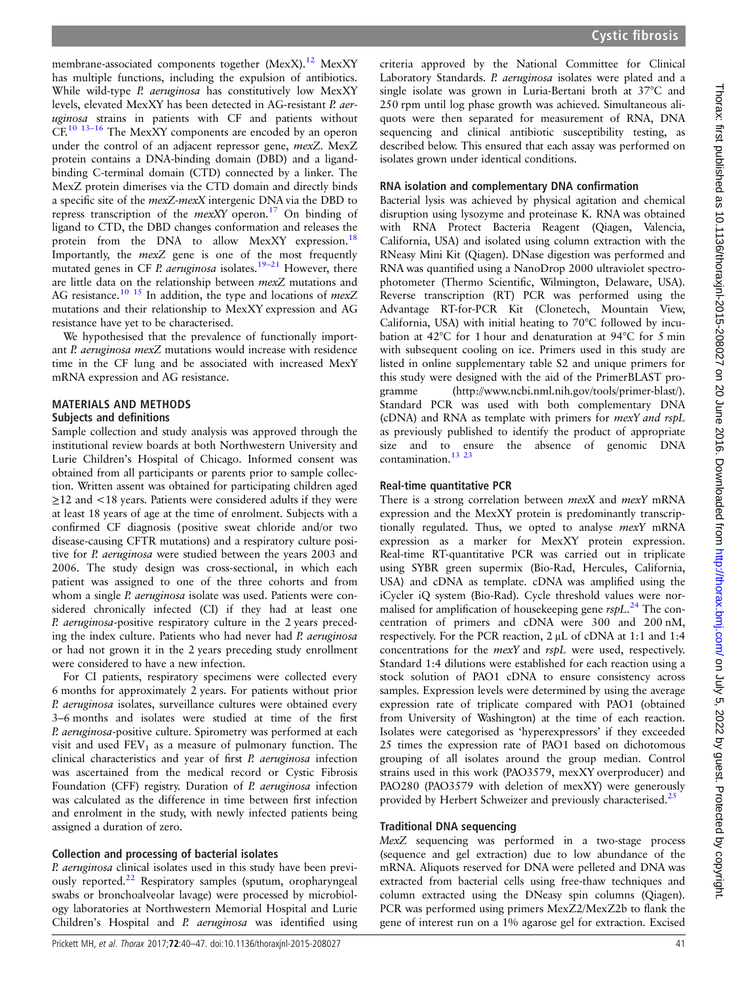membrane-associated components together  $(MexX)$ .<sup>[12](#page-6-0)</sup> MexXY has multiple functions, including the expulsion of antibiotics. While wild-type P. aeruginosa has constitutively low MexXY levels, elevated MexXY has been detected in AG-resistant P. aeruginosa strains in patients with CF and patients without CF.<sup>[10 13](#page-6-0)-16</sup> The MexXY components are encoded by an operon under the control of an adjacent repressor gene, mexZ. MexZ protein contains a DNA-binding domain (DBD) and a ligandbinding C-terminal domain (CTD) connected by a linker. The MexZ protein dimerises via the CTD domain and directly binds a specific site of the mexZ-mexX intergenic DNA via the DBD to repress transcription of the *mexXY* operon.<sup>[17](#page-6-0)</sup> On binding of ligand to CTD, the DBD changes conformation and releases the protein from the DNA to allow MexXY expression.<sup>18</sup> Importantly, the mexZ gene is one of the most frequently mutated genes in CF P. *aeruginosa* isolates.<sup>19–[21](#page-6-0)</sup> However, there are little data on the relationship between mexZ mutations and AG resistance.<sup>10</sup> <sup>15</sup> In addition, the type and locations of  $mexZ$ mutations and their relationship to MexXY expression and AG resistance have yet to be characterised.

We hypothesised that the prevalence of functionally important P. aeruginosa mexZ mutations would increase with residence time in the CF lung and be associated with increased MexY mRNA expression and AG resistance.

## MATERIALS AND METHODS

### Subjects and definitions

Sample collection and study analysis was approved through the institutional review boards at both Northwestern University and Lurie Children's Hospital of Chicago. Informed consent was obtained from all participants or parents prior to sample collection. Written assent was obtained for participating children aged ≥12 and <18 years. Patients were considered adults if they were at least 18 years of age at the time of enrolment. Subjects with a confirmed CF diagnosis (positive sweat chloride and/or two disease-causing CFTR mutations) and a respiratory culture positive for P. aeruginosa were studied between the years 2003 and 2006. The study design was cross-sectional, in which each patient was assigned to one of the three cohorts and from whom a single P. *aeruginosa* isolate was used. Patients were considered chronically infected (CI) if they had at least one P. aeruginosa-positive respiratory culture in the 2 years preceding the index culture. Patients who had never had P. aeruginosa or had not grown it in the 2 years preceding study enrollment were considered to have a new infection.

For CI patients, respiratory specimens were collected every 6 months for approximately 2 years. For patients without prior P. aeruginosa isolates, surveillance cultures were obtained every 3–6 months and isolates were studied at time of the first P. aeruginosa-positive culture. Spirometry was performed at each visit and used  $FEV<sub>1</sub>$  as a measure of pulmonary function. The clinical characteristics and year of first P. aeruginosa infection was ascertained from the medical record or Cystic Fibrosis Foundation (CFF) registry. Duration of P. aeruginosa infection was calculated as the difference in time between first infection and enrolment in the study, with newly infected patients being assigned a duration of zero.

## Collection and processing of bacterial isolates

P. aeruginosa clinical isolates used in this study have been previ-ously reported.<sup>[22](#page-6-0)</sup> Respiratory samples (sputum, oropharyngeal swabs or bronchoalveolar lavage) were processed by microbiology laboratories at Northwestern Memorial Hospital and Lurie Children's Hospital and P. aeruginosa was identified using

## RNA isolation and complementary DNA confirmation

Bacterial lysis was achieved by physical agitation and chemical disruption using lysozyme and proteinase K. RNA was obtained with RNA Protect Bacteria Reagent (Qiagen, Valencia, California, USA) and isolated using column extraction with the RNeasy Mini Kit (Qiagen). DNase digestion was performed and RNA was quantified using a NanoDrop 2000 ultraviolet spectrophotometer (Thermo Scientific, Wilmington, Delaware, USA). Reverse transcription (RT) PCR was performed using the Advantage RT-for-PCR Kit (Clonetech, Mountain View, California, USA) with initial heating to 70°C followed by incubation at 42°C for 1 hour and denaturation at 94°C for 5 min with subsequent cooling on ice. Primers used in this study are listed in online supplementary table S2 and unique primers for this study were designed with the aid of the PrimerBLAST programme [\(http://www.ncbi.nml.nih.gov/tools/primer-blast/\).](http://www.ncbi.nml.nih.gov/tools/primer-blast/).) Standard PCR was used with both complementary DNA (cDNA) and RNA as template with primers for mexY and rspL as previously published to identify the product of appropriate size and to ensure the absence of genomic DNA contamination.<sup>13</sup> <sup>23</sup>

## Real-time quantitative PCR

There is a strong correlation between mexX and mexY mRNA expression and the MexXY protein is predominantly transcriptionally regulated. Thus, we opted to analyse mexY mRNA expression as a marker for MexXY protein expression. Real-time RT-quantitative PCR was carried out in triplicate using SYBR green supermix (Bio-Rad, Hercules, California, USA) and cDNA as template. cDNA was amplified using the iCycler iQ system (Bio-Rad). Cycle threshold values were normalised for amplification of housekeeping gene  $rspL<sup>24</sup>$  $rspL<sup>24</sup>$  $rspL<sup>24</sup>$ . The concentration of primers and cDNA were 300 and 200 nM, respectively. For the PCR reaction, 2 μL of cDNA at 1:1 and 1:4 concentrations for the mexY and rspL were used, respectively. Standard 1:4 dilutions were established for each reaction using a stock solution of PAO1 cDNA to ensure consistency across samples. Expression levels were determined by using the average expression rate of triplicate compared with PAO1 (obtained from University of Washington) at the time of each reaction. Isolates were categorised as 'hyperexpressors' if they exceeded 25 times the expression rate of PAO1 based on dichotomous grouping of all isolates around the group median. Control strains used in this work (PAO3579, mexXY overproducer) and PAO280 (PAO3579 with deletion of mexXY) were generously provided by Herbert Schweizer and previously characterised.<sup>[25](#page-6-0)</sup>

## Traditional DNA sequencing

MexZ sequencing was performed in a two-stage process (sequence and gel extraction) due to low abundance of the mRNA. Aliquots reserved for DNA were pelleted and DNA was extracted from bacterial cells using free-thaw techniques and column extracted using the DNeasy spin columns (Qiagen). PCR was performed using primers MexZ2/MexZ2b to flank the gene of interest run on a 1% agarose gel for extraction. Excised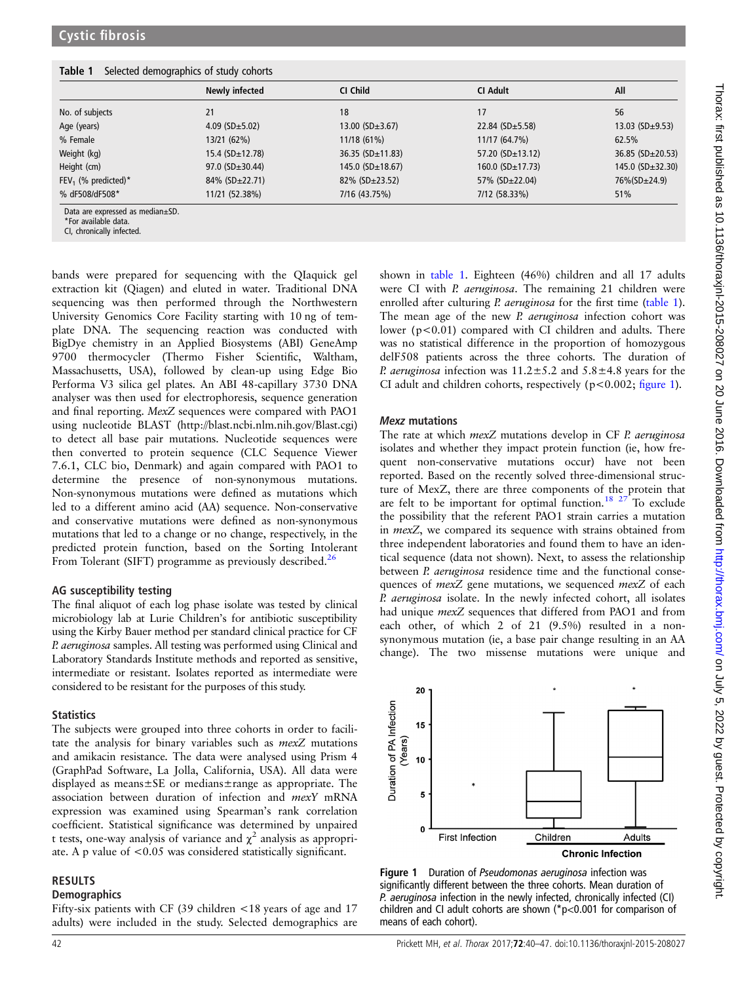|  |  | Table 1 Selected demographics of study cohorts |  |  |
|--|--|------------------------------------------------|--|--|
|--|--|------------------------------------------------|--|--|

|                                  | Newly infected          | CI Child                | CI Adult                 | All                    |
|----------------------------------|-------------------------|-------------------------|--------------------------|------------------------|
|                                  |                         |                         |                          |                        |
| No. of subjects                  | 21                      | 18                      | 17                       | 56                     |
| Age (years)                      | 4.09 ( $SD±5.02$ )      | $13.00$ (SD $\pm$ 3.67) | 22.84 ( $SD±5.58$ )      | 13.03 (SD $\pm$ 9.53)  |
| % Female                         | 13/21 (62%)             | 11/18 (61%)             | 11/17 (64.7%)            | 62.5%                  |
| Weight (kg)                      | $15.4$ (SD $\pm$ 12.78) | 36.35 ( $SD±11.83$ )    | 57.20 $(SD \pm 13.12)$   | 36.85 ( $SD±20.53$ )   |
| Height (cm)                      | 97.0 $(SD \pm 30.44)$   | 145.0 $(SD \pm 18.67)$  | $160.0$ (SD $\pm$ 17.73) | 145.0 $(SD \pm 32.30)$ |
| FEV <sub>1</sub> (% predicted)*  | $84\%$ (SD $\pm$ 22.71) | $82\%$ (SD $\pm$ 23.52) | 57% ( $SD±22.04$ )       | $76\%$ (SD $\pm$ 24.9) |
| % dF508/dF508*                   | 11/21 (52.38%)          | 7/16 (43.75%)           | 7/12 (58.33%)            | 51%                    |
| Data are expressed as median±SD. |                         |                         |                          |                        |

\*For available data.

CI, chronically infected.

bands were prepared for sequencing with the QIaquick gel extraction kit (Qiagen) and eluted in water. Traditional DNA sequencing was then performed through the Northwestern University Genomics Core Facility starting with 10 ng of template DNA. The sequencing reaction was conducted with BigDye chemistry in an Applied Biosystems (ABI) GeneAmp 9700 thermocycler (Thermo Fisher Scientific, Waltham, Massachusetts, USA), followed by clean-up using Edge Bio Performa V3 silica gel plates. An ABI 48-capillary 3730 DNA analyser was then used for electrophoresis, sequence generation and final reporting. MexZ sequences were compared with PAO1 using nucleotide BLAST ([http://blast.ncbi.nlm.nih.gov/Blast.cgi\)](http://blast.ncbi.nlm.nih.gov/Blast.cgi) to detect all base pair mutations. Nucleotide sequences were then converted to protein sequence (CLC Sequence Viewer 7.6.1, CLC bio, Denmark) and again compared with PAO1 to determine the presence of non-synonymous mutations. Non-synonymous mutations were defined as mutations which led to a different amino acid (AA) sequence. Non-conservative and conservative mutations were defined as non-synonymous mutations that led to a change or no change, respectively, in the predicted protein function, based on the Sorting Intolerant From Tolerant (SIFT) programme as previously described.<sup>26</sup>

## AG susceptibility testing

The final aliquot of each log phase isolate was tested by clinical microbiology lab at Lurie Children's for antibiotic susceptibility using the Kirby Bauer method per standard clinical practice for CF P. aeruginosa samples. All testing was performed using Clinical and Laboratory Standards Institute methods and reported as sensitive, intermediate or resistant. Isolates reported as intermediate were considered to be resistant for the purposes of this study.

## **Statistics**

The subjects were grouped into three cohorts in order to facilitate the analysis for binary variables such as mexZ mutations and amikacin resistance. The data were analysed using Prism 4 (GraphPad Software, La Jolla, California, USA). All data were displayed as means±SE or medians±range as appropriate. The association between duration of infection and mexY mRNA expression was examined using Spearman's rank correlation coefficient. Statistical significance was determined by unpaired t tests, one-way analysis of variance and  $\chi^2$  analysis as appropriate. A p value of  $\leq 0.05$  was considered statistically significant.

## RESULTS

## **Demographics**

Fifty-six patients with CF (39 children <18 years of age and 17 adults) were included in the study. Selected demographics are shown in table 1. Eighteen (46%) children and all 17 adults were CI with P. aeruginosa. The remaining 21 children were enrolled after culturing *P. aeruginosa* for the first time (table 1). The mean age of the new P. *aeruginosa* infection cohort was lower (p<0.01) compared with CI children and adults. There was no statistical difference in the proportion of homozygous delF508 patients across the three cohorts. The duration of *P. aeruginosa* infection was  $11.2 \pm 5.2$  and  $5.8 \pm 4.8$  years for the CI adult and children cohorts, respectively ( $p < 0.002$ ; figure 1).

## Mexz mutations

The rate at which *mexZ* mutations develop in CF P. aeruginosa isolates and whether they impact protein function (ie, how frequent non-conservative mutations occur) have not been reported. Based on the recently solved three-dimensional structure of MexZ, there are three components of the protein that are felt to be important for optimal function.<sup>[18 27](#page-6-0)</sup> To exclude the possibility that the referent PAO1 strain carries a mutation in mexZ, we compared its sequence with strains obtained from three independent laboratories and found them to have an identical sequence (data not shown). Next, to assess the relationship between P. aeruginosa residence time and the functional consequences of mexZ gene mutations, we sequenced mexZ of each P. aeruginosa isolate. In the newly infected cohort, all isolates had unique *mex*Z sequences that differed from PAO1 and from each other, of which 2 of 21 (9.5%) resulted in a nonsynonymous mutation (ie, a base pair change resulting in an AA change). The two missense mutations were unique and



Figure 1 Duration of Pseudomonas aeruginosa infection was significantly different between the three cohorts. Mean duration of P. aeruginosa infection in the newly infected, chronically infected (CI) children and CI adult cohorts are shown (\*p<0.001 for comparison of means of each cohort).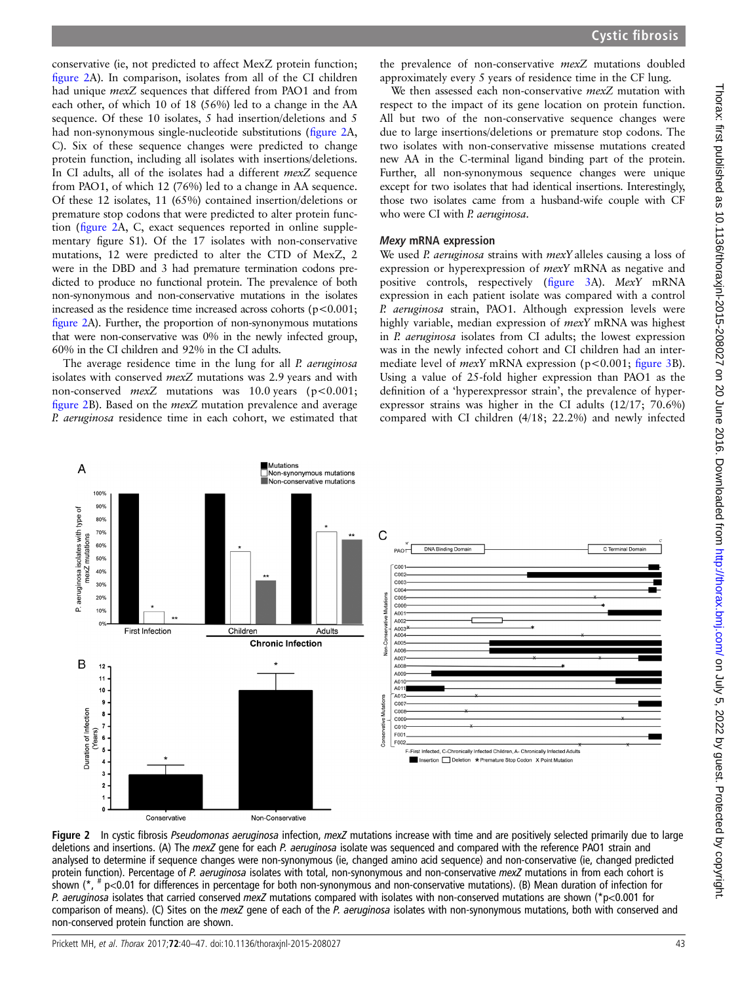conservative (ie, not predicted to affect MexZ protein function; figure 2A). In comparison, isolates from all of the CI children had unique mexZ sequences that differed from PAO1 and from each other, of which 10 of 18 (56%) led to a change in the AA sequence. Of these 10 isolates, 5 had insertion/deletions and 5 had non-synonymous single-nucleotide substitutions (figure 2A, C). Six of these sequence changes were predicted to change protein function, including all isolates with insertions/deletions. In CI adults, all of the isolates had a different mexZ sequence from PAO1, of which 12 (76%) led to a change in AA sequence. Of these 12 isolates, 11 (65%) contained insertion/deletions or premature stop codons that were predicted to alter protein function (figure 2A, C, exact sequences reported in online supplementary figure S1). Of the 17 isolates with non-conservative mutations, 12 were predicted to alter the CTD of MexZ, 2 were in the DBD and 3 had premature termination codons predicted to produce no functional protein. The prevalence of both non-synonymous and non-conservative mutations in the isolates increased as the residence time increased across cohorts ( $p$ <0.001; figure 2A). Further, the proportion of non-synonymous mutations that were non-conservative was 0% in the newly infected group, 60% in the CI children and 92% in the CI adults.

The average residence time in the lung for all P. *aeruginosa* isolates with conserved mexZ mutations was 2.9 years and with non-conserved  $mexZ$  mutations was 10.0 years (p<0.001; figure 2B). Based on the mexZ mutation prevalence and average P. aeruginosa residence time in each cohort, we estimated that

the prevalence of non-conservative mexZ mutations doubled approximately every 5 years of residence time in the CF lung.

We then assessed each non-conservative mexZ mutation with respect to the impact of its gene location on protein function. All but two of the non-conservative sequence changes were due to large insertions/deletions or premature stop codons. The two isolates with non-conservative missense mutations created new AA in the C-terminal ligand binding part of the protein. Further, all non-synonymous sequence changes were unique except for two isolates that had identical insertions. Interestingly, those two isolates came from a husband-wife couple with CF who were CI with P. aeruginosa.

#### Mexy mRNA expression

We used P. *aeruginosa* strains with *mexY* alleles causing a loss of expression or hyperexpression of mexY mRNA as negative and positive controls, respectively (fi[gure 3](#page-4-0)A). MexY mRNA expression in each patient isolate was compared with a control P. aeruginosa strain, PAO1. Although expression levels were highly variable, median expression of *mexY* mRNA was highest in P. aeruginosa isolates from CI adults; the lowest expression was in the newly infected cohort and CI children had an intermediate level of *mexY* mRNA expression (p<0.001; fi[gure 3](#page-4-0)B). Using a value of 25-fold higher expression than PAO1 as the definition of a 'hyperexpressor strain', the prevalence of hyperexpressor strains was higher in the CI adults (12/17; 70.6%) compared with CI children (4/18; 22.2%) and newly infected



Figure 2 In cystic fibrosis Pseudomonas aeruginosa infection, mexZ mutations increase with time and are positively selected primarily due to large deletions and insertions. (A) The mexZ gene for each P. aeruginosa isolate was sequenced and compared with the reference PAO1 strain and analysed to determine if sequence changes were non-synonymous (ie, changed amino acid sequence) and non-conservative (ie, changed predicted protein function). Percentage of P. aeruginosa isolates with total, non-synonymous and non-conservative mexZ mutations in from each cohort is shown (\*,  $*$  p<0.01 for differences in percentage for both non-synonymous and non-conservative mutations). (B) Mean duration of infection for P. aeruginosa isolates that carried conserved mexZ mutations compared with isolates with non-conserved mutations are shown (\*p<0.001 for comparison of means). (C) Sites on the *mexZ* gene of each of the P. aeruginosa isolates with non-synonymous mutations, both with conserved and non-conserved protein function are shown.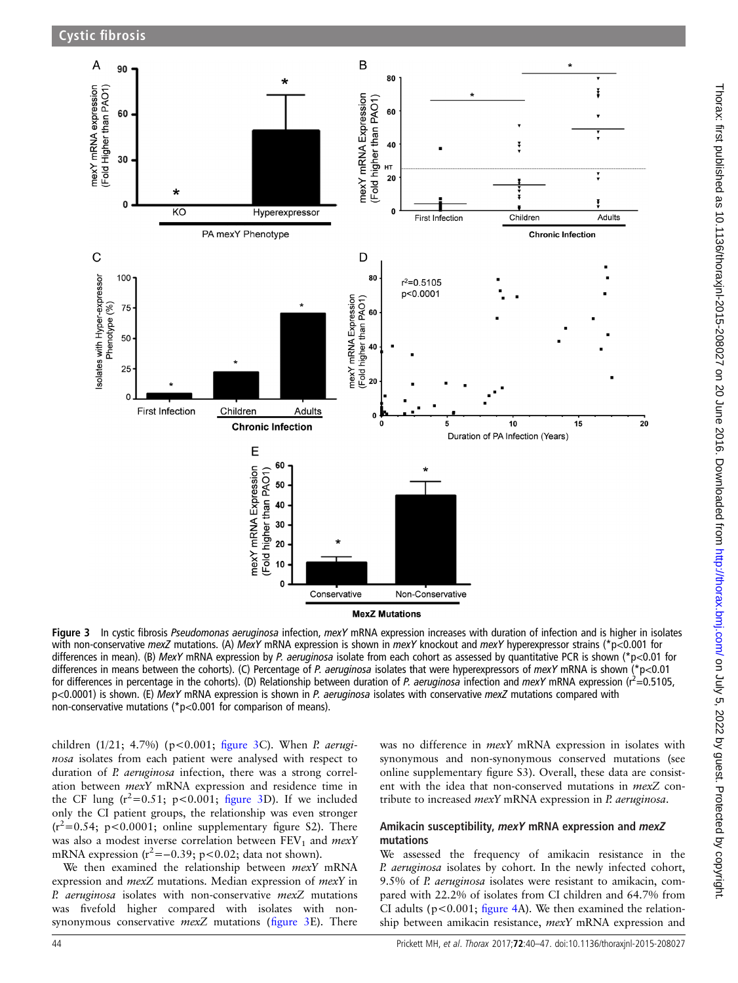<span id="page-4-0"></span>

Figure 3 In cystic fibrosis Pseudomonas aeruginosa infection, mexY mRNA expression increases with duration of infection and is higher in isolates with non-conservative mexZ mutations. (A) MexY mRNA expression is shown in mexY knockout and mexY hyperexpressor strains (\*p<0.001 for differences in mean). (B) MexY mRNA expression by P. aeruginosa isolate from each cohort as assessed by quantitative PCR is shown (\*p<0.01 for differences in means between the cohorts). (C) Percentage of P. aeruginosa isolates that were hyperexpressors of mexY mRNA is shown (\*p<0.01 for differences in percentage in the cohorts). (D) Relationship between duration of P. aeruginosa infection and mexY mRNA expression ( $r^2$  = 0.5105, p<0.0001) is shown. (E) MexY mRNA expression is shown in P. aeruginosa isolates with conservative mexZ mutations compared with non-conservative mutations (\*p<0.001 for comparison of means).

children (1/21; 4.7%) (p<0.001; figure 3C). When P. aeruginosa isolates from each patient were analysed with respect to duration of P. aeruginosa infection, there was a strong correlation between mexY mRNA expression and residence time in the CF lung  $(r^2=0.51; p<0.001;$  figure 3D). If we included only the CI patient groups, the relationship was even stronger  $(r^2=0.54; p<0.0001;$  online supplementary figure S2). There was also a modest inverse correlation between  $FEV<sub>1</sub>$  and  $mexY$ mRNA expression  $(r^2 = -0.39; p < 0.02;$  data not shown).

We then examined the relationship between *mexY* mRNA expression and mexZ mutations. Median expression of mexY in P. aeruginosa isolates with non-conservative mexZ mutations was fivefold higher compared with isolates with nonsynonymous conservative  $mexZ$  mutations (figure 3E). There

was no difference in mexY mRNA expression in isolates with synonymous and non-synonymous conserved mutations (see online supplementary figure S3). Overall, these data are consistent with the idea that non-conserved mutations in mexZ contribute to increased mexY mRNA expression in P. aeruginosa.

## Amikacin susceptibility, mexY mRNA expression and mexZ mutations

We assessed the frequency of amikacin resistance in the P. *aeruginosa* isolates by cohort. In the newly infected cohort, 9.5% of P. aeruginosa isolates were resistant to amikacin, compared with 22.2% of isolates from CI children and 64.7% from CI adults ( $p < 0.001$ ; fi[gure 4](#page-5-0)A). We then examined the relationship between amikacin resistance, mexY mRNA expression and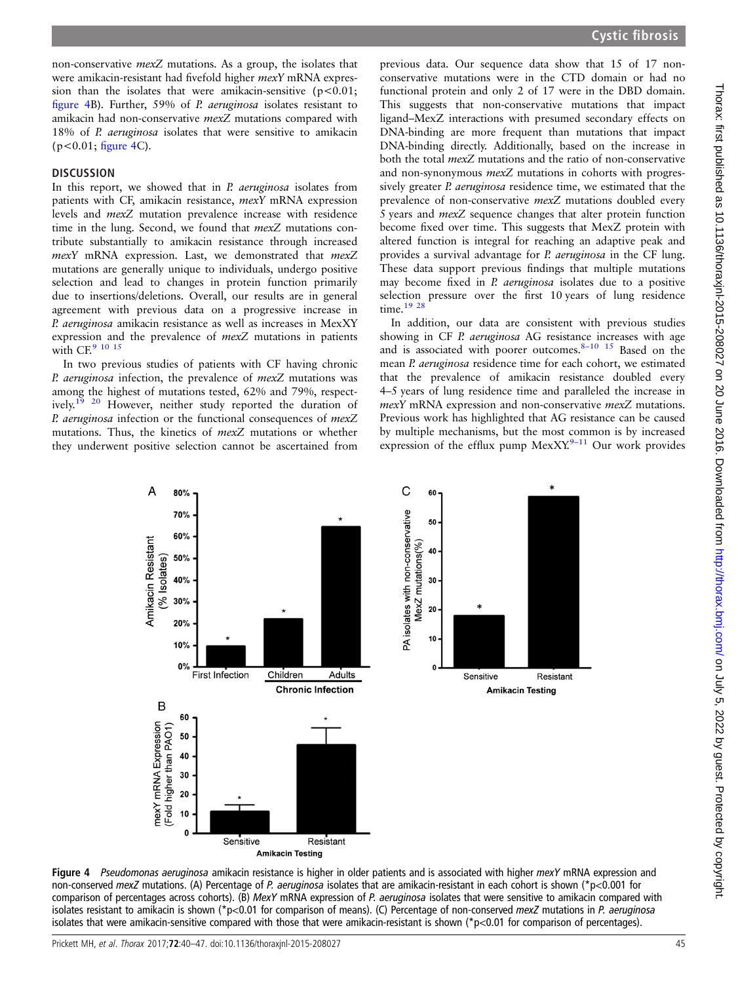<span id="page-5-0"></span>non-conservative mexZ mutations. As a group, the isolates that were amikacin-resistant had fivefold higher mexY mRNA expression than the isolates that were amikacin-sensitive  $(p<0.01;$ figure 4B). Further, 59% of P. aeruginosa isolates resistant to amikacin had non-conservative mexZ mutations compared with 18% of P. aeruginosa isolates that were sensitive to amikacin  $(p < 0.01;$  figure 4C).

## **DISCUSSION**

In this report, we showed that in P. *aeruginosa* isolates from patients with CF, amikacin resistance, mexY mRNA expression levels and mexZ mutation prevalence increase with residence time in the lung. Second, we found that *mexZ* mutations contribute substantially to amikacin resistance through increased mexY mRNA expression. Last, we demonstrated that mexZ mutations are generally unique to individuals, undergo positive selection and lead to changes in protein function primarily due to insertions/deletions. Overall, our results are in general agreement with previous data on a progressive increase in P. aeruginosa amikacin resistance as well as increases in MexXY expression and the prevalence of mexZ mutations in patients with CF.<sup>9</sup> <sup>10</sup> <sup>15</sup>

In two previous studies of patients with CF having chronic P. aeruginosa infection, the prevalence of mexZ mutations was among the highest of mutations tested, 62% and 79%, respectively.<sup>19</sup> <sup>20</sup> However, neither study reported the duration of P. aeruginosa infection or the functional consequences of mexZ mutations. Thus, the kinetics of mexZ mutations or whether they underwent positive selection cannot be ascertained from

previous data. Our sequence data show that 15 of 17 nonconservative mutations were in the CTD domain or had no functional protein and only 2 of 17 were in the DBD domain. This suggests that non-conservative mutations that impact ligand–MexZ interactions with presumed secondary effects on DNA-binding are more frequent than mutations that impact DNA-binding directly. Additionally, based on the increase in both the total mexZ mutations and the ratio of non-conservative and non-synonymous mexZ mutations in cohorts with progressively greater P. aeruginosa residence time, we estimated that the prevalence of non-conservative mexZ mutations doubled every 5 years and mexZ sequence changes that alter protein function become fixed over time. This suggests that MexZ protein with altered function is integral for reaching an adaptive peak and provides a survival advantage for P. aeruginosa in the CF lung. These data support previous findings that multiple mutations may become fixed in P. aeruginosa isolates due to a positive selection pressure over the first 10 years of lung residence time. $1928$ 

In addition, our data are consistent with previous studies showing in CF P. *aeruginosa* AG resistance increases with age and is associated with poorer outcomes. $8-10$  15 Based on the mean P. aeruginosa residence time for each cohort, we estimated that the prevalence of amikacin resistance doubled every 4–5 years of lung residence time and paralleled the increase in mexY mRNA expression and non-conservative mexZ mutations. Previous work has highlighted that AG resistance can be caused by multiple mechanisms, but the most common is by increased expression of the efflux pump  $MexXX<sup>9-11</sup>$  $MexXX<sup>9-11</sup>$  $MexXX<sup>9-11</sup>$  Our work provides



Figure 4 Pseudomonas aeruginosa amikacin resistance is higher in older patients and is associated with higher mexY mRNA expression and non-conserved mexZ mutations. (A) Percentage of P. aeruginosa isolates that are amikacin-resistant in each cohort is shown (\*p<0.001 for comparison of percentages across cohorts). (B) MexY mRNA expression of P. aeruginosa isolates that were sensitive to amikacin compared with isolates resistant to amikacin is shown (\*p<0.01 for comparison of means). (C) Percentage of non-conserved mexZ mutations in P. aeruginosa isolates that were amikacin-sensitive compared with those that were amikacin-resistant is shown ( $*p<0.01$  for comparison of percentages).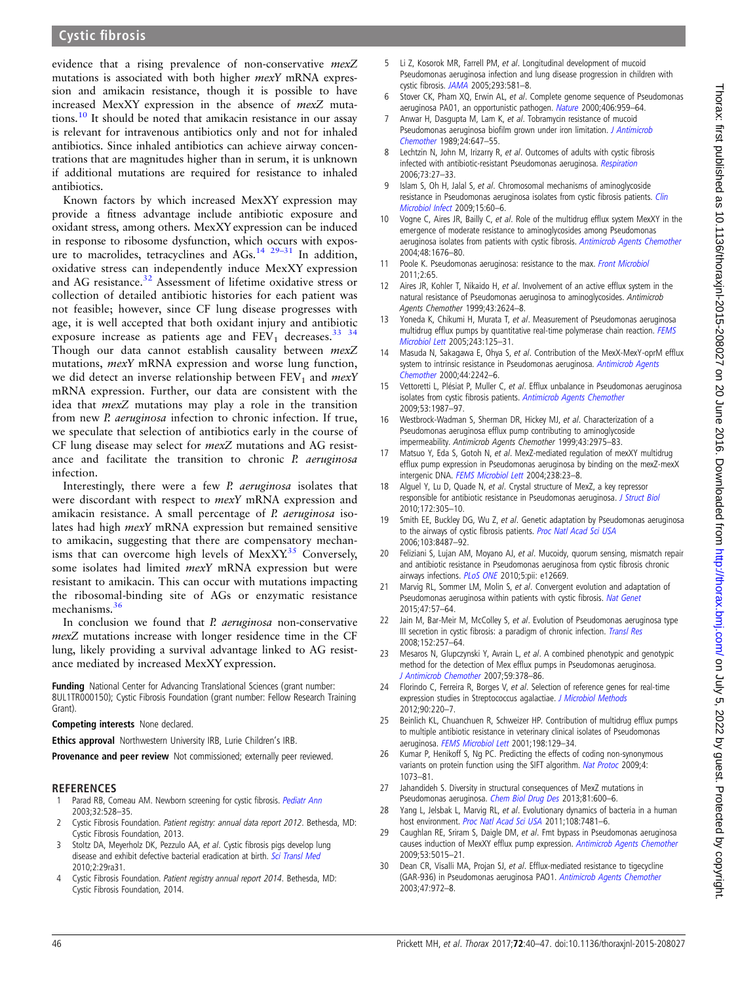<span id="page-6-0"></span>evidence that a rising prevalence of non-conservative mexZ mutations is associated with both higher mexY mRNA expression and amikacin resistance, though it is possible to have increased MexXY expression in the absence of mexZ mutations.<sup>10</sup> It should be noted that amikacin resistance in our assay is relevant for intravenous antibiotics only and not for inhaled antibiotics. Since inhaled antibiotics can achieve airway concentrations that are magnitudes higher than in serum, it is unknown if additional mutations are required for resistance to inhaled antibiotics.

Known factors by which increased MexXY expression may provide a fitness advantage include antibiotic exposure and oxidant stress, among others. MexXY expression can be induced in response to ribosome dysfunction, which occurs with exposure to macrolides, tetracyclines and  $AGs$ <sup>14 29–31</sup> In addition, oxidative stress can independently induce MexXY expression and AG resistance.<sup>[32](#page-7-0)</sup> Assessment of lifetime oxidative stress or collection of detailed antibiotic histories for each patient was not feasible; however, since CF lung disease progresses with age, it is well accepted that both oxidant injury and antibiotic exposure increase as patients age and  $FEV_1$  decreases.<sup>33</sup> <sup>34</sup> Though our data cannot establish causality between mexZ mutations, mexY mRNA expression and worse lung function, we did detect an inverse relationship between  $FEV<sub>1</sub>$  and  $mexY$ mRNA expression. Further, our data are consistent with the idea that mexZ mutations may play a role in the transition from new P. aeruginosa infection to chronic infection. If true, we speculate that selection of antibiotics early in the course of CF lung disease may select for mexZ mutations and AG resistance and facilitate the transition to chronic P. aeruginosa infection.

Interestingly, there were a few P. aeruginosa isolates that were discordant with respect to *mexY* mRNA expression and amikacin resistance. A small percentage of P. aeruginosa isolates had high mexY mRNA expression but remained sensitive to amikacin, suggesting that there are compensatory mechan-isms that can overcome high levels of MexXY.<sup>[35](#page-7-0)</sup> Conversely, some isolates had limited mexY mRNA expression but were resistant to amikacin. This can occur with mutations impacting the ribosomal-binding site of AGs or enzymatic resistance mechanisms.<sup>[36](#page-7-0)</sup>

In conclusion we found that P. aeruginosa non-conservative mexZ mutations increase with longer residence time in the CF lung, likely providing a survival advantage linked to AG resistance mediated by increased MexXY expression.

Funding National Center for Advancing Translational Sciences (grant number: 8UL1TR000150); Cystic Fibrosis Foundation (grant number: Fellow Research Training Grant).

Competing interests None declared.

Ethics approval Northwestern University IRB, Lurie Children's IRB.

Provenance and peer review Not commissioned; externally peer reviewed.

#### REFERENCES

- 1 Parad RB, Comeau AM. Newborn screening for cystic fibrosis. [Pediatr Ann](http://dx.doi.org/10.3928/0090-4481-20030801-10) 2003;32:528–35.
- 2 Cystic Fibrosis Foundation. Patient registry: annual data report 2012. Bethesda, MD: Cystic Fibrosis Foundation, 2013.
- Stoltz DA, Meyerholz DK, Pezzulo AA, et al. Cystic fibrosis pigs develop lung disease and exhibit defective bacterial eradication at birth. [Sci Transl Med](http://dx.doi.org/10.1126/scitranslmed.3000928) 2010;2:29ra31.
- 4 Cystic Fibrosis Foundation. Patient registry annual report 2014. Bethesda, MD: Cystic Fibrosis Foundation, 2014.
- 5 Li Z, Kosorok MR, Farrell PM, et al. Longitudinal development of mucoid Pseudomonas aeruginosa infection and lung disease progression in children with cystic fibrosis. [JAMA](http://dx.doi.org/10.1001/jama.293.5.581) 2005;293:581–8.
- 6 Stover CK, Pham XQ, Erwin AL, et al. Complete genome sequence of Pseudomonas aeruginosa PA01, an opportunistic pathogen. [Nature](http://dx.doi.org/10.1038/35023079) 2000;406:959-64.
- 7 Anwar H, Dasgupta M, Lam K, et al. Tobramycin resistance of mucoid Pseudomonas aeruginosa biofilm grown under iron limitation. [J Antimicrob](http://dx.doi.org/10.1093/jac/24.5.647) [Chemother](http://dx.doi.org/10.1093/jac/24.5.647) 1989;24:647–55.
- 8 Lechtzin N, John M, Irizarry R, et al. Outcomes of adults with cystic fibrosis infected with antibiotic-resistant Pseudomonas aeruginosa. [Respiration](http://dx.doi.org/10.1159/000087686) 2006;73:27–33.
- 9 Islam S, Oh H, Jalal S, et al. Chromosomal mechanisms of aminoglycoside resistance in Pseudomonas aeruginosa isolates from cystic fibrosis patients. [Clin](http://dx.doi.org/10.1111/j.1469-0691.2008.02097.x) [Microbiol Infect](http://dx.doi.org/10.1111/j.1469-0691.2008.02097.x) 2009;15:60–6.
- Vogne C, Aires JR, Bailly C, et al. Role of the multidrug efflux system MexXY in the emergence of moderate resistance to aminoglycosides among Pseudomonas aeruginosa isolates from patients with cystic fibrosis. [Antimicrob Agents Chemother](http://dx.doi.org/10.1128/AAC.48.5.1676-1680.2004) 2004;48:1676–80.
- 11 Poole K. Pseudomonas aeruginosa: resistance to the max. [Front Microbiol](http://dx.doi.org/10.3389/fmicb.2011.00065) 2011;2:65.
- 12 Aires JR, Kohler T, Nikaido H, et al. Involvement of an active efflux system in the natural resistance of Pseudomonas aeruginosa to aminoglycosides. Antimicrob Agents Chemother 1999;43:2624–8.
- 13 Yoneda K, Chikumi H, Murata T, et al. Measurement of Pseudomonas aeruginosa multidrug efflux pumps by quantitative real-time polymerase chain reaction. [FEMS](http://dx.doi.org/10.1016/j.femsle.2004.11.048) [Microbiol Lett](http://dx.doi.org/10.1016/j.femsle.2004.11.048) 2005;243:125–31.
- 14 Masuda N, Sakagawa E, Ohya S, et al. Contribution of the MexX-MexY-oprM efflux system to intrinsic resistance in Pseudomonas aeruginosa. [Antimicrob Agents](http://dx.doi.org/10.1128/AAC.44.9.2242-2246.2000) [Chemother](http://dx.doi.org/10.1128/AAC.44.9.2242-2246.2000) 2000;44:2242–6.
- 15 Vettoretti L, Plésiat P, Muller C, et al. Efflux unbalance in Pseudomonas aeruginosa isolates from cystic fibrosis patients. [Antimicrob Agents Chemother](http://dx.doi.org/10.1128/AAC.01024-08) 2009;53:1987–97.
- 16 Westbrock-Wadman S, Sherman DR, Hickey MJ, et al. Characterization of a Pseudomonas aeruginosa efflux pump contributing to aminoglycoside impermeability. Antimicrob Agents Chemother 1999;43:2975–83.
- 17 Matsuo Y, Eda S, Gotoh N, et al. MexZ-mediated regulation of mexXY multidrug efflux pump expression in Pseudomonas aeruginosa by binding on the mexZ-mexX intergenic DNA. [FEMS Microbiol Lett](http://dx.doi.org/10.1016/j.femsle.2004.07.010) 2004;238:23–8.
- 18 Alguel Y, Lu D, Quade N, et al. Crystal structure of MexZ, a key repressor responsible for antibiotic resistance in Pseudomonas aeruginosa. [J Struct Biol](http://dx.doi.org/10.1016/j.jsb.2010.07.012) 2010;172:305–10.
- 19 Smith EE, Buckley DG, Wu Z, et al. Genetic adaptation by Pseudomonas aeruginosa to the airways of cystic fibrosis patients. [Proc Natl Acad Sci USA](http://dx.doi.org/10.1073/pnas.0602138103) 2006;103:8487–92.
- 20 Feliziani S, Lujan AM, Moyano AJ, et al. Mucoidy, quorum sensing, mismatch repair and antibiotic resistance in Pseudomonas aeruginosa from cystic fibrosis chronic airways infections. [PLoS ONE](http://dx.doi.org/10.1371/journal.pone.0012669) 2010;5:pii: e12669.
- 21 Marvig RL, Sommer LM, Molin S, et al. Convergent evolution and adaptation of Pseudomonas aeruginosa within patients with cystic fibrosis. [Nat Genet](http://dx.doi.org/10.1038/ng.3148) 2015;47:57–64.
- 22 Jain M, Bar-Meir M, McColley S, et al. Evolution of Pseudomonas aeruginosa type III secretion in cystic fibrosis: a paradigm of chronic infection. [Transl Res](http://dx.doi.org/10.1016/j.trsl.2008.10.003) 2008;152:257–64.
- 23 Mesaros N, Glupczynski Y, Avrain L, et al. A combined phenotypic and genotypic method for the detection of Mex efflux pumps in Pseudomonas aeruginosa. [J Antimicrob Chemother](http://dx.doi.org/10.1093/jac/dkl504) 2007;59:378–86.
- 24 Florindo C, Ferreira R, Borges V, et al. Selection of reference genes for real-time expression studies in Streptococcus agalactiae. [J Microbiol Methods](http://dx.doi.org/10.1016/j.mimet.2012.05.011) 2012;90:220–7.
- 25 Beinlich KL, Chuanchuen R, Schweizer HP. Contribution of multidrug efflux pumps to multiple antibiotic resistance in veterinary clinical isolates of Pseudomonas aeruginosa. [FEMS Microbiol Lett](http://dx.doi.org/10.1111/j.1574-6968.2001.tb10631.x) 2001;198:129–34.
- 26 Kumar P, Henikoff S, Ng PC. Predicting the effects of coding non-synonymous variants on protein function using the SIFT algorithm. [Nat Protoc](http://dx.doi.org/10.1038/nprot.2009.86) 2009;4: 1073–81.
- 27 Jahandideh S. Diversity in structural consequences of MexZ mutations in Pseudomonas aeruginosa. [Chem Biol Drug Des](http://dx.doi.org/10.1111/cbdd.12104) 2013;81:600–6.
- 28 Yang L, Jelsbak L, Marvig RL, et al. Evolutionary dynamics of bacteria in a human host environment. [Proc Natl Acad Sci USA](http://dx.doi.org/10.1073/pnas.1018249108) 2011;108:7481-6.
- 29 Caughlan RE, Sriram S, Daigle DM, et al. Fmt bypass in Pseudomonas aeruginosa causes induction of MexXY efflux pump expression. [Antimicrob Agents Chemother](http://dx.doi.org/10.1128/AAC.00253-09) 2009;53:5015–21.
- 30 Dean CR, Visalli MA, Projan SJ, et al. Efflux-mediated resistance to tigecycline (GAR-936) in Pseudomonas aeruginosa PAO1. [Antimicrob Agents Chemother](http://dx.doi.org/10.1128/AAC.47.3.972-978.2003) 2003;47:972–8.